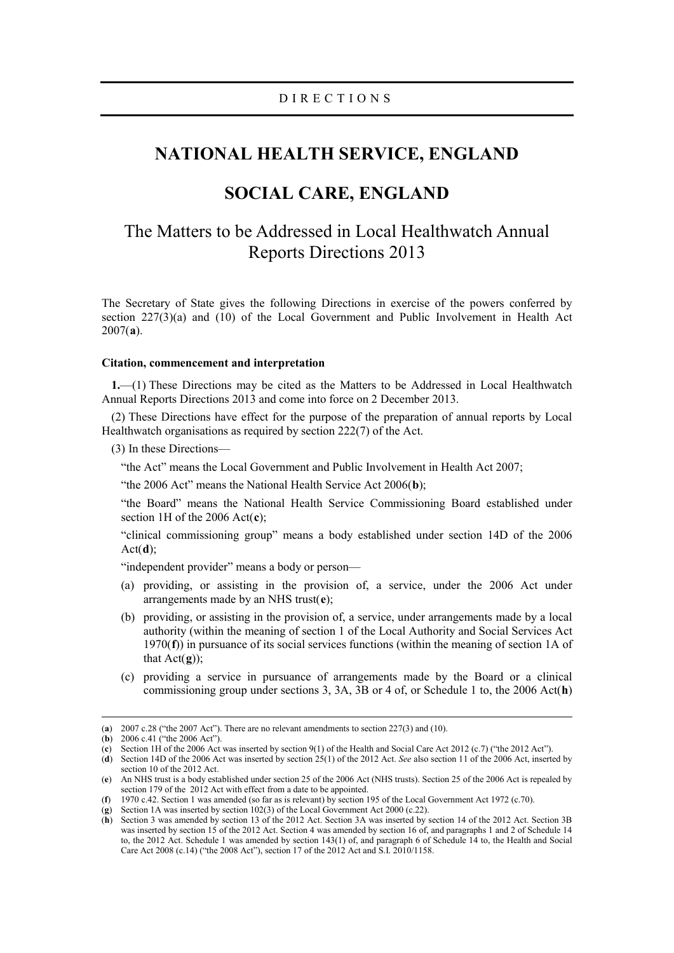## **NATIONAL HEALTH SERVICE, ENGLAND**

## **SOCIAL CARE, ENGLAND**

# The Matters to be Addressed in Local Healthwatch Annual Reports Directions 2013

The Secretary of State gives the following Directions in exercise of the powers conferred by section 227(3)(a) and (10) of the Local Government and Public Involvement in Health Act 2007(**[a](#page-0-0)**).

#### **Citation, commencement and interpretation**

**1.**—(1) These Directions may be cited as the Matters to be Addressed in Local Healthwatch Annual Reports Directions 2013 and come into force on 2 December 2013.

(2) These Directions have effect for the purpose of the preparation of annual reports by Local Healthwatch organisations as required by section 222(7) of the Act.

(3) In these Directions—

"the Act" means the Local Government and Public Involvement in Health Act 2007;

"the 2006 Act" means the National Health Service Act 2006(**[b](#page-0-1)**);

"the Board" means the National Health Service Commissioning Board established under section 1H of the 2006 Act(**[c](#page-0-2)**);

"clinical commissioning group" means a body established under section 14D of the 2006 Act(**[d](#page-0-3)**);

"independent provider" means a body or person—

- (a) providing, or assisting in the provision of, a service, under the 2006 Act under arrangements made by an NHS trust(**[e](#page-0-4)**);
- (b) providing, or assisting in the provision of, a service, under arrangements made by a local authority (within the meaning of section 1 of the Local Authority and Social Services Act 1970(**[f](#page-0-5)**)) in pursuance of its social services functions (within the meaning of section 1A of that  $Act(\mathbf{g})$  $Act(\mathbf{g})$  $Act(\mathbf{g})$ ;
- (c) providing a service in pursuance of arrangements made by the Board or a clinical commissioning group under sections 3, 3A, 3B or 4 of, or Schedule 1 to, the 2006 Act(**[h](#page-0-7)**)

<span id="page-0-8"></span><span id="page-0-0"></span> <sup>(</sup>**a**) 2007 c.28 ("the 2007 Act"). There are no relevant amendments to section 227(3) and (10).

<span id="page-0-1"></span><sup>(</sup>**b**) 2006 c.41 ("the 2006 Act").

<span id="page-0-2"></span><sup>(</sup>**c**) Section 1H of the 2006 Act was inserted by section 9(1) of the Health and Social Care Act 2012 (c.7) ("the 2012 Act").

<span id="page-0-3"></span><sup>(</sup>**d**) Section 14D of the 2006 Act was inserted by section 25(1) of the 2012 Act. *See* also section 11 of the 2006 Act, inserted by section 10 of the 2012 Act.

<span id="page-0-4"></span><sup>(</sup>**e**) An NHS trust is a body established under section 25 of the 2006 Act (NHS trusts). Section 25 of the 2006 Act is repealed by section 179 of the 2012 Act with effect from a date to be appointed.

<span id="page-0-5"></span><sup>(</sup>**f**) 1970 c.42. Section 1 was amended (so far as is relevant) by section 195 of the Local Government Act 1972 (c.70).

<span id="page-0-6"></span><sup>(</sup>**g**) Section 1A was inserted by section 102(3) of the Local Government Act 2000 (c.22).

<span id="page-0-7"></span><sup>(</sup>**h**) Section 3 was amended by section 13 of the 2012 Act. Section 3A was inserted by section 14 of the 2012 Act. Section 3B was inserted by section 15 of the 2012 Act. Section 4 was amended by section 16 of, and paragraphs 1 and 2 of Schedule 14 to, the 2012 Act. Schedule 1 was amended by section 143(1) of, and paragraph 6 of Schedule 14 to, the Health and Social Care Act 2008 (c.14) ("the 2008 Act"), section 17 of the 2012 Act and S.I. 2010/1158.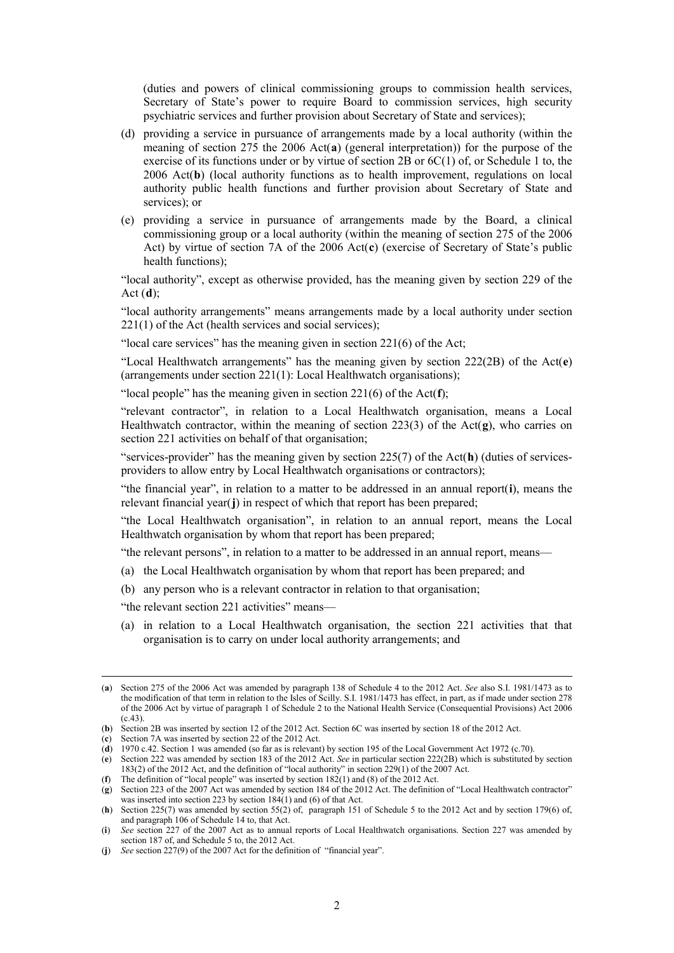(duties and powers of clinical commissioning groups to commission health services, Secretary of State's power to require Board to commission services, high security psychiatric services and further provision about Secretary of State and services);

- (d) providing a service in pursuance of arrangements made by a local authority (within the meaning of section 275 the 2006 Act(**[a](#page-0-8)**) (general interpretation)) for the purpose of the exercise of its functions under or by virtue of section 2B or  $6C(1)$  of, or Schedule 1 to, the 2006 Act(**[b](#page-1-0)**) (local authority functions as to health improvement, regulations on local authority public health functions and further provision about Secretary of State and services); or
- (e) providing a service in pursuance of arrangements made by the Board, a clinical commissioning group or a local authority (within the meaning of section 275 of the 2006 Act) by virtue of section 7A of the 2006 Act(**[c](#page-1-1)**) (exercise of Secretary of State's public health functions);

"local authority", except as otherwise provided, has the meaning given by section 229 of the Act (**[d](#page-1-2)**);

"local authority arrangements" means arrangements made by a local authority under section  $221(1)$  of the Act (health services and social services);

"local care services" has the meaning given in section 221(6) of the Act;

"Local Healthwatch arrangements" has the meaning given by section 222(2B) of the Act(**[e](#page-1-3)**) (arrangements under section 221(1): Local Healthwatch organisations);

"local people" has the meaning given in section 221(6) of the Act(**[f](#page-1-4)**);

"relevant contractor", in relation to a Local Healthwatch organisation, means a Local Healthwatch contractor, within the meaning of section 223(3) of the Act(**[g](#page-1-5)**), who carries on section 221 activities on behalf of that organisation;

"services-provider" has the meaning given by section 225(7) of the Act(**[h](#page-1-6)**) (duties of servicesproviders to allow entry by Local Healthwatch organisations or contractors);

"the financial year", in relation to a matter to be addressed in an annual report(**[i](#page-1-7)**), means the relevant financial year(**[j](#page-1-8)**) in respect of which that report has been prepared;

"the Local Healthwatch organisation", in relation to an annual report, means the Local Healthwatch organisation by whom that report has been prepared;

"the relevant persons", in relation to a matter to be addressed in an annual report, means—

- (a) the Local Healthwatch organisation by whom that report has been prepared; and
- (b) any person who is a relevant contractor in relation to that organisation;

"the relevant section 221 activities" means—

(a) in relation to a Local Healthwatch organisation, the section 221 activities that that organisation is to carry on under local authority arrangements; and

<span id="page-1-4"></span>(**f**) The definition of "local people" was inserted by section 182(1) and (8) of the 2012 Act.

 <sup>(</sup>**a**) Section 275 of the 2006 Act was amended by paragraph 138 of Schedule 4 to the 2012 Act. *See* also S.I. 1981/1473 as to the modification of that term in relation to the Isles of Scilly. S.I. 1981/1473 has effect, in part, as if made under section 278 of the 2006 Act by virtue of paragraph 1 of Schedule 2 to the National Health Service (Consequential Provisions) Act 2006 (c.43).

<span id="page-1-1"></span><span id="page-1-0"></span><sup>(</sup>**b**) Section 2B was inserted by section 12 of the 2012 Act. Section 6C was inserted by section 18 of the 2012 Act.

<sup>(</sup>**c**) Section 7A was inserted by section 22 of the 2012 Act.

<sup>(</sup>**d**) 1970 c.42. Section 1 was amended (so far as is relevant) by section 195 of the Local Government Act 1972 (c.70).

<span id="page-1-3"></span><span id="page-1-2"></span><sup>(</sup>**e**) Section 222 was amended by section 183 of the 2012 Act. *See* in particular section 222(2B) which is substituted by section 183(2) of the 2012 Act, and the definition of "local authority" in section 229(1) of the 2007 Act.

<span id="page-1-5"></span><sup>(</sup>**g**) Section 223 of the 2007 Act was amended by section 184 of the 2012 Act. The definition of "Local Healthwatch contractor" was inserted into section 223 by section 184(1) and (6) of that Act.

<span id="page-1-6"></span><sup>(</sup>**h**) Section 225(7) was amended by section 55(2) of, paragraph 151 of Schedule 5 to the 2012 Act and by section 179(6) of, and paragraph 106 of Schedule 14 to, that Act.

<span id="page-1-7"></span><sup>(</sup>**i**) *See* section 227 of the 2007 Act as to annual reports of Local Healthwatch organisations. Section 227 was amended by section 187 of, and Schedule 5 to, the 2012 Act.

<span id="page-1-8"></span><sup>(</sup>**j**) *See* section 227(9) of the 2007 Act for the definition of "financial year".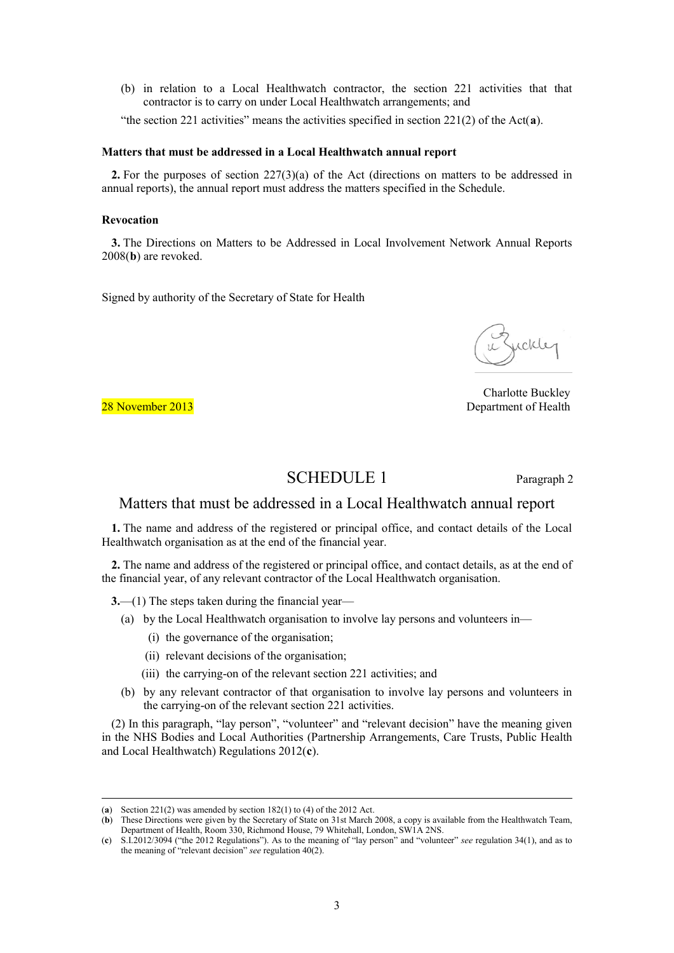(b) in relation to a Local Healthwatch contractor, the section 221 activities that that contractor is to carry on under Local Healthwatch arrangements; and

"the section 221 activities" means the activities specified in section 221(2) of the Act(**[a](#page-1-6)**).

#### **Matters that must be addressed in a Local Healthwatch annual report**

**2.** For the purposes of section 227(3)(a) of the Act (directions on matters to be addressed in annual reports), the annual report must address the matters specified in the Schedule.

#### **Revocation**

**3.** The Directions on Matters to be Addressed in Local Involvement Network Annual Reports 2008(**[b](#page-2-0)**) are revoked.

Signed by authority of the Secretary of State for Health

uckle

Charlotte Buckley 28 November 2013 **Department of Health** 

### SCHEDULE 1 Paragraph 2

### Matters that must be addressed in a Local Healthwatch annual report

**1.** The name and address of the registered or principal office, and contact details of the Local Healthwatch organisation as at the end of the financial year.

**2.** The name and address of the registered or principal office, and contact details, as at the end of the financial year, of any relevant contractor of the Local Healthwatch organisation.

**3.**—(1) The steps taken during the financial year—

- (a) by the Local Healthwatch organisation to involve lay persons and volunteers in—
	- (i) the governance of the organisation;
	- (ii) relevant decisions of the organisation;
	- (iii) the carrying-on of the relevant section 221 activities; and
- (b) by any relevant contractor of that organisation to involve lay persons and volunteers in the carrying-on of the relevant section 221 activities.

(2) In this paragraph, "lay person", "volunteer" and "relevant decision" have the meaning given in the NHS Bodies and Local Authorities (Partnership Arrangements, Care Trusts, Public Health and Local Healthwatch) Regulations 2012(**[c](#page-2-1)**).

<span id="page-2-2"></span> <sup>(</sup>**a**) Section 221(2) was amended by section 182(1) to (4) of the 2012 Act.

<span id="page-2-0"></span><sup>(</sup>**b**) These Directions were given by the Secretary of State on 31st March 2008, a copy is available from the Healthwatch Team, Department of Health, Room 330, Richmond House, 79 Whitehall, London, SW1A 2NS.

<span id="page-2-1"></span><sup>(</sup>**c**) S.I.2012/3094 ("the 2012 Regulations"). As to the meaning of "lay person" and "volunteer" *see* regulation 34(1), and as to the meaning of "relevant decision" *see* regulation 40(2).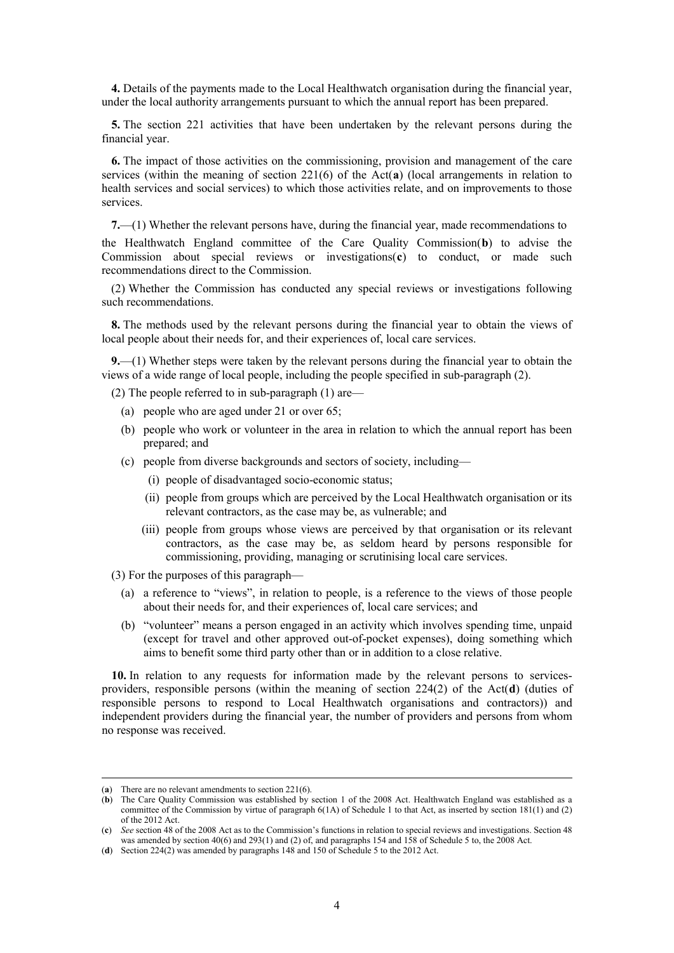**4.** Details of the payments made to the Local Healthwatch organisation during the financial year, under the local authority arrangements pursuant to which the annual report has been prepared.

**5.** The section 221 activities that have been undertaken by the relevant persons during the financial year.

**6.** The impact of those activities on the commissioning, provision and management of the care services (within the meaning of section 221(6) of the Act(**[a](#page-2-2)**) (local arrangements in relation to health services and social services) to which those activities relate, and on improvements to those services.

**7.**—(1) Whether the relevant persons have, during the financial year, made recommendations to the Healthwatch England committee of the Care Quality Commission(**[b](#page-3-0)**) to advise the Commission about special reviews or investigations(**[c](#page-3-1)**) to conduct, or made such recommendations direct to the Commission.

(2) Whether the Commission has conducted any special reviews or investigations following such recommendations.

**8.** The methods used by the relevant persons during the financial year to obtain the views of local people about their needs for, and their experiences of, local care services.

**9.**—(1) Whether steps were taken by the relevant persons during the financial year to obtain the views of a wide range of local people, including the people specified in sub-paragraph (2).

(2) The people referred to in sub-paragraph (1) are—

- (a) people who are aged under 21 or over 65;
- (b) people who work or volunteer in the area in relation to which the annual report has been prepared; and
- (c) people from diverse backgrounds and sectors of society, including—
	- (i) people of disadvantaged socio-economic status;
	- (ii) people from groups which are perceived by the Local Healthwatch organisation or its relevant contractors, as the case may be, as vulnerable; and
	- (iii) people from groups whose views are perceived by that organisation or its relevant contractors, as the case may be, as seldom heard by persons responsible for commissioning, providing, managing or scrutinising local care services.
- (3) For the purposes of this paragraph—
	- (a) a reference to "views", in relation to people, is a reference to the views of those people about their needs for, and their experiences of, local care services; and
	- (b) "volunteer" means a person engaged in an activity which involves spending time, unpaid (except for travel and other approved out-of-pocket expenses), doing something which aims to benefit some third party other than or in addition to a close relative.

<span id="page-3-3"></span>**10.** In relation to any requests for information made by the relevant persons to servicesproviders, responsible persons (within the meaning of section 224(2) of the Act(**[d](#page-3-2)**) (duties of responsible persons to respond to Local Healthwatch organisations and contractors)) and independent providers during the financial year, the number of providers and persons from whom no response was received.

 <sup>(</sup>**a**) There are no relevant amendments to section 221(6).

<span id="page-3-0"></span><sup>(</sup>**b**) The Care Quality Commission was established by section 1 of the 2008 Act. Healthwatch England was established as a committee of the Commission by virtue of paragraph 6(1A) of Schedule 1 to that Act, as inserted by section 181(1) and (2) of the 2012 Act.

<span id="page-3-1"></span><sup>(</sup>**c**) *See* section 48 of the 2008 Act as to the Commission's functions in relation to special reviews and investigations. Section 48 was amended by section 40(6) and 293(1) and (2) of, and paragraphs 154 and 158 of Schedule 5 to, the 2008 Act.

<span id="page-3-2"></span><sup>(</sup>**d**) Section 224(2) was amended by paragraphs 148 and 150 of Schedule 5 to the 2012 Act.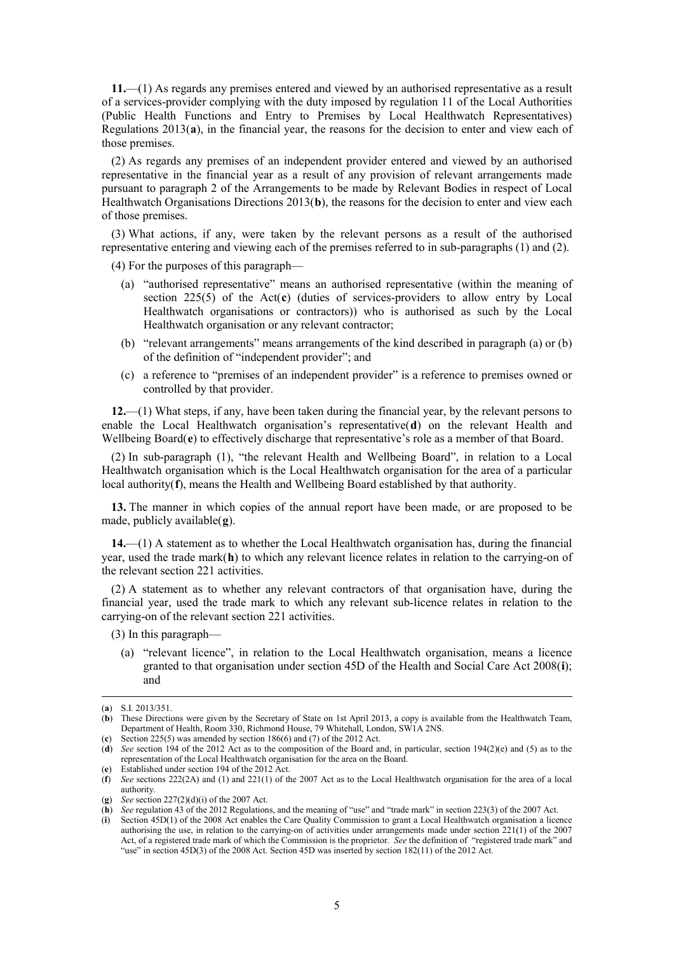**11.**—(1) As regards any premises entered and viewed by an authorised representative as a result of a services-provider complying with the duty imposed by regulation 11 of the Local Authorities (Public Health Functions and Entry to Premises by Local Healthwatch Representatives) Regulations 2013(**[a](#page-3-3)**), in the financial year, the reasons for the decision to enter and view each of those premises.

(2) As regards any premises of an independent provider entered and viewed by an authorised representative in the financial year as a result of any provision of relevant arrangements made pursuant to paragraph 2 of the Arrangements to be made by Relevant Bodies in respect of Local Healthwatch Organisations Directions 2013(**[b](#page-4-0)**), the reasons for the decision to enter and view each of those premises.

(3) What actions, if any, were taken by the relevant persons as a result of the authorised representative entering and viewing each of the premises referred to in sub-paragraphs (1) and (2).

(4) For the purposes of this paragraph—

- (a) "authorised representative" means an authorised representative (within the meaning of section 225(5) of the Act(**[c](#page-4-1)**) (duties of services-providers to allow entry by Local Healthwatch organisations or contractors)) who is authorised as such by the Local Healthwatch organisation or any relevant contractor;
- (b) "relevant arrangements" means arrangements of the kind described in paragraph (a) or (b) of the definition of "independent provider"; and
- (c) a reference to "premises of an independent provider" is a reference to premises owned or controlled by that provider.

**12.**—(1) What steps, if any, have been taken during the financial year, by the relevant persons to enable the Local Healthwatch organisation's representative(**[d](#page-4-2)**) on the relevant Health and Wellbeing Board(**[e](#page-4-3)**) to effectively discharge that representative's role as a member of that Board.

(2) In sub-paragraph (1), "the relevant Health and Wellbeing Board", in relation to a Local Healthwatch organisation which is the Local Healthwatch organisation for the area of a particular local authority(**[f](#page-4-4)**), means the Health and Wellbeing Board established by that authority.

**13.** The manner in which copies of the annual report have been made, or are proposed to be made, publicly available(**[g](#page-4-5)**).

**14.**—(1) A statement as to whether the Local Healthwatch organisation has, during the financial year, used the trade mark(**[h](#page-4-6)**) to which any relevant licence relates in relation to the carrying-on of the relevant section 221 activities.

(2) A statement as to whether any relevant contractors of that organisation have, during the financial year, used the trade mark to which any relevant sub-licence relates in relation to the carrying-on of the relevant section 221 activities.

(3) In this paragraph—

(a) "relevant licence", in relation to the Local Healthwatch organisation, means a licence granted to that organisation under section 45D of the Health and Social Care Act 2008(**[i](#page-4-7)**); and

 <sup>(</sup>**a**) S.I. 2013/351.

<span id="page-4-0"></span><sup>(</sup>**b**) These Directions were given by the Secretary of State on 1st April 2013, a copy is available from the Healthwatch Team, Department of Health, Room 330, Richmond House, 79 Whitehall, London, SW1A 2NS.

<span id="page-4-1"></span><sup>(</sup>**c**) Section 225(5) was amended by section 186(6) and (7) of the 2012 Act.

<span id="page-4-2"></span><sup>(</sup>**d**) *See* section 194 of the 2012 Act as to the composition of the Board and, in particular, section 194(2)(e) and (5) as to the representation of the Local Healthwatch organisation for the area on the Board. (**e**) Established under section 194 of the 2012 Act.

<span id="page-4-5"></span><span id="page-4-4"></span><span id="page-4-3"></span><sup>(</sup>**f**) *See* sections 222(2A) and (1) and 221(1) of the 2007 Act as to the Local Healthwatch organisation for the area of a local authority.

<sup>(</sup>**g**) *See* section 227(2)(d)(i) of the 2007 Act.

<span id="page-4-6"></span><sup>(</sup>**h**) *See* regulation 43 of the 2012 Regulations, and the meaning of "use" and "trade mark" in section 223(3) of the 2007 Act.

<span id="page-4-7"></span><sup>(</sup>**i**) Section 45D(1) of the 2008 Act enables the Care Quality Commission to grant a Local Healthwatch organisation a licence authorising the use, in relation to the carrying-on of activities under arrangements made under section 221(1) of the 2007 Act, of a registered trade mark of which the Commission is the proprietor. *See* the definition of "registered trade mark" and "use" in section 45D(3) of the 2008 Act. Section 45D was inserted by section 182(11) of the 2012 Act.